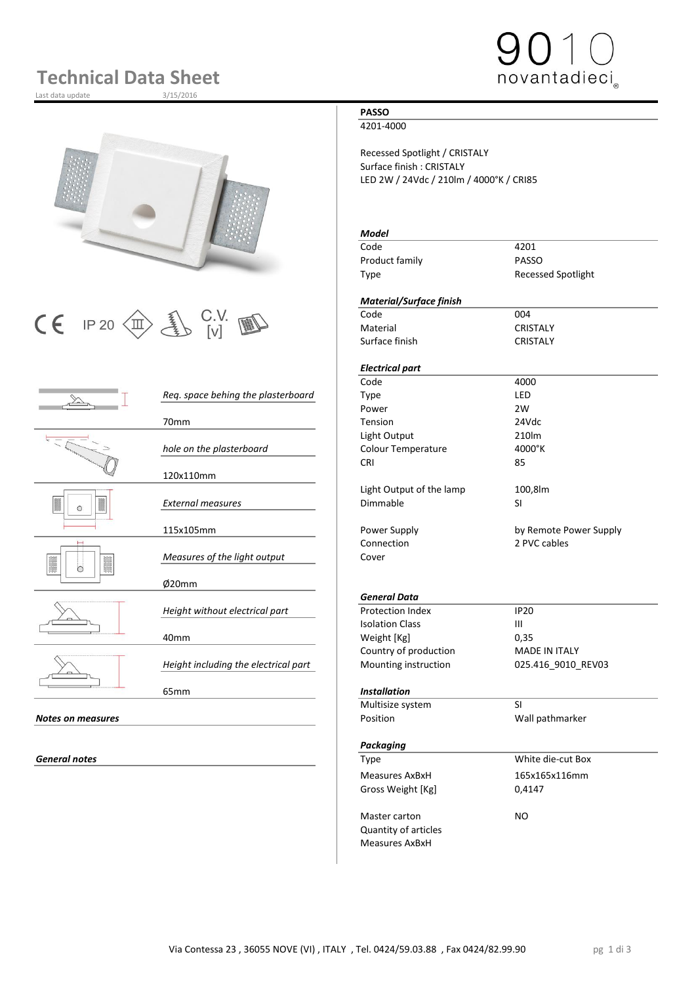# **Technical Data Sheet**

Last data update



# $\begin{array}{|c|c|c|c|}\n\hline\n\text{C} & \text{IP 20}\n\hline\n\text{CD} & \text{UV} & \text{W} & \text{C} & \text{C} & \text{C} & \text{C} & \text{C} & \text{C} & \text{C} \\
\hline\n\text{C} & \text{I} & \text{I} & \text{V} & \text{V} & \text{V} & \text{V} & \text{C} & \text{C} & \text{C} & \text{C} & \text{C} \\
\hline\n\end{array}$

|                          |                                      | Code                     | 4000                 |
|--------------------------|--------------------------------------|--------------------------|----------------------|
|                          | Req. space behing the plasterboard   | <b>Type</b>              | LED                  |
|                          |                                      | Power                    | 2W                   |
|                          | 70mm                                 | Tension                  | 24Vdc                |
| $\circ$                  |                                      | Light Output             | 210lm                |
|                          | hole on the plasterboard             | Colour Temperature       | 4000°K               |
|                          |                                      | <b>CRI</b>               | 85                   |
|                          | 120x110mm                            |                          |                      |
|                          |                                      | Light Output of the lamp | 100,8lm              |
|                          | <b>External measures</b>             | Dimmable                 | <b>SI</b>            |
|                          |                                      |                          |                      |
|                          | 115x105mm                            | Power Supply             | by Remote Powe       |
|                          |                                      | Connection               | 2 PVC cables         |
|                          | Measures of the light output         | Cover                    |                      |
| ∩                        |                                      |                          |                      |
|                          | Ø20mm                                |                          |                      |
|                          |                                      | <b>General Data</b>      |                      |
|                          | Height without electrical part       | <b>Protection Index</b>  | <b>IP20</b>          |
|                          |                                      | <b>Isolation Class</b>   | $\mathbf{III}$       |
|                          | 40 <sub>mm</sub>                     | Weight [Kg]              | 0,35                 |
|                          |                                      | Country of production    | <b>MADE IN ITALY</b> |
|                          | Height including the electrical part | Mounting instruction     | 025.416_9010_R       |
|                          |                                      |                          |                      |
|                          | 65 <sub>mm</sub>                     | <b>Installation</b>      |                      |
|                          |                                      | Multisize system         | <b>SI</b>            |
| <b>Notes on measures</b> |                                      | Position                 | Wall pathmarker      |
|                          |                                      |                          |                      |
|                          |                                      | Deception of the         |                      |

### **PASSO**

4201-4000

Recessed Spotlight / CRISTALY Surface finish : CRISTALY LED 2W / 24Vdc / 210lm / 4000°K / CRI85

### *Model*

Code 4201 Product family **PASSO** Type Recessed Spotlight

novantadieci

#### *Material/Surface finish*

Material CRISTALY Surface finish CRISTALY

#### *Electrical part*

Power Supply **115 and 115 and 115 and 115 and 115 and 115 and 115 and 115 and 115 and 115 and 115 and 115 and 11** Connection 2 PVC cables<br>Cover

*General Data* **Protection Index IP20**<br>Isolation Class III **Isolation Class** Weight [Kg] 0,35 Country of production MADE IN ITALY Mounting instruction 025.416\_9010\_REV03

#### 65mm *Installation*

|                   | Multisize system      | SI                |  |
|-------------------|-----------------------|-------------------|--|
| Notes on measures | Position              | Wall pathmarker   |  |
|                   | Packaging             |                   |  |
| General notes     | Type                  | White die-cut Box |  |
|                   | <b>Measures AxBxH</b> | 165x165x116mm     |  |
|                   | Gross Weight [Kg]     | 0,4147            |  |
|                   | Master carton         | NO.               |  |
|                   | Quantity of articles  |                   |  |
|                   | <b>Measures AxBxH</b> |                   |  |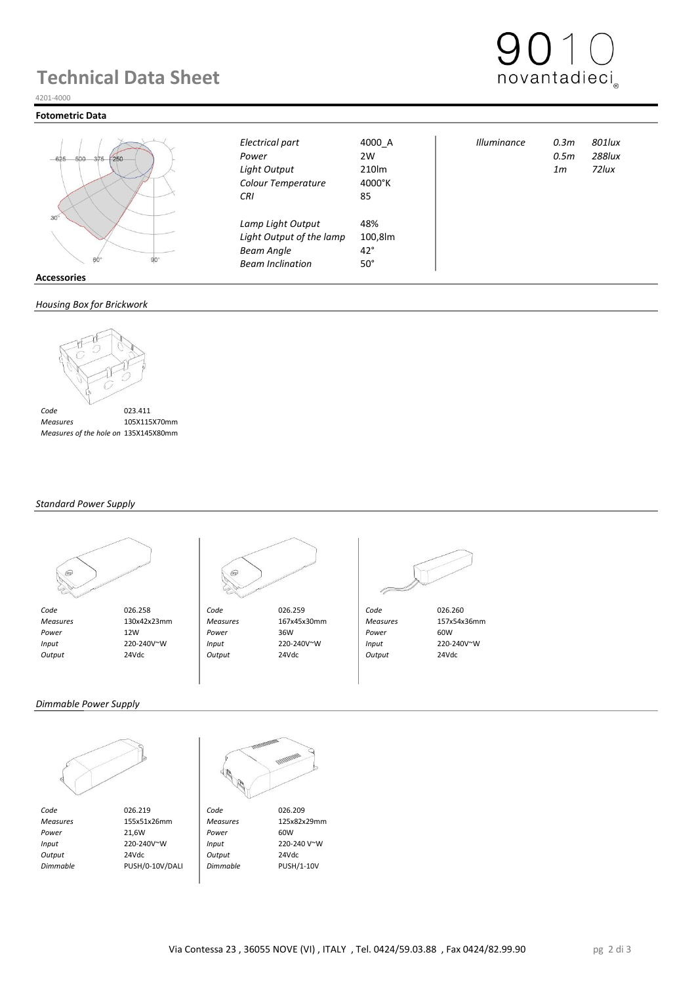## **Technical Data Sheet**



#### 4201-4000

#### **Fotometric Data**



|     | $60^\circ$ | urr |
|-----|------------|-----|
| ies |            |     |

#### *Housing Box for Brickwork*



 *Measures* 105X115X70mm  *Measures of the hole on Brickwork* 135X145X80mm

#### *Standard Power Supply*





 *Code* 026.258 *Code* 026.259 *Code* 026.260  *Measures* 130x42x23mm *Measures* 167x45x30mm *Measures* 157x54x36mm  *Power* 12W *Power* 36W *Power* 60W  *Input* 220-240V~W *Input* 220-240V~W *Input* 220-240V~W  *Output* 24Vdc *Output* 24Vdc *Output* 24Vdc

*Colour Temperature* 4000°K *CRI* 85

*Lamp Light Output* 48%

**Light Output of the lamp Beam Angle** 42° *Beam Inclination* 50°



*Electrical part* 4000\_A *Illuminance 0.3m 801lux Power* 2W *0.5m 288lux Light Output* 210lm *1m 72lux*

*Dimmable Power Supply*



*Code* 026.219 **Code** 026.209<br> *Measures* 155x51x26mm *Measures* 125x82x29mm  *Measures* 155x51x26mm *Measures* 125x82x29mm *Power* 21,6W **Power** 60W  *Input* 220-240V~W *Input* 220-240 V~W  *Output* 24Vdc *Output* 24Vdc